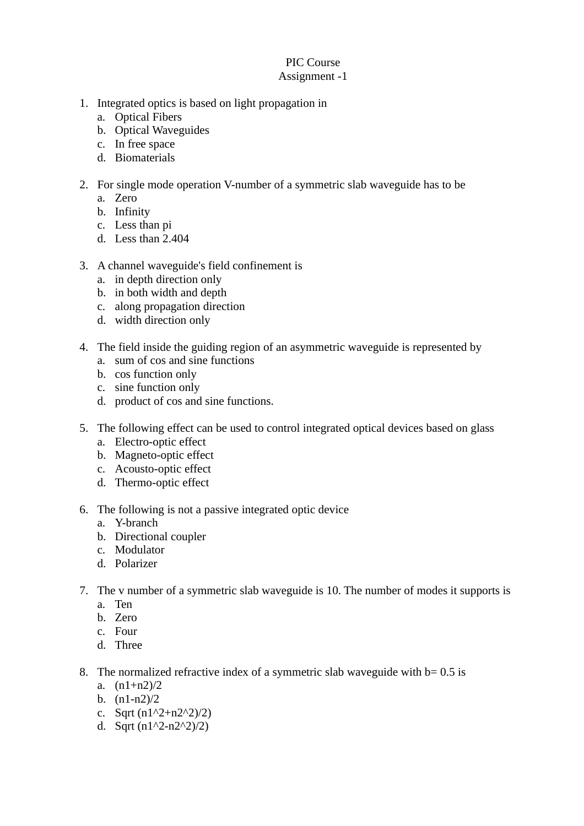## PIC Course Assignment -1

- 1. Integrated optics is based on light propagation in
	- a. Optical Fibers
	- b. Optical Waveguides
	- c. In free space
	- d. Biomaterials
- 2. For single mode operation V-number of a symmetric slab waveguide has to be
	- a. Zero
	- b. Infinity
	- c. Less than pi
	- d. Less than 2.404

## 3. A channel waveguide's field confinement is

- a. in depth direction only
- b. in both width and depth
- c. along propagation direction
- d. width direction only
- 4. The field inside the guiding region of an asymmetric waveguide is represented by
	- a. sum of cos and sine functions
	- b. cos function only
	- c. sine function only
	- d. product of cos and sine functions.
- 5. The following effect can be used to control integrated optical devices based on glass
	- a. Electro-optic effect
	- b. Magneto-optic effect
	- c. Acousto-optic effect
	- d. Thermo-optic effect
- 6. The following is not a passive integrated optic device
	- a. Y-branch
	- b. Directional coupler
	- c. Modulator
	- d. Polarizer
- 7. The v number of a symmetric slab waveguide is 10. The number of modes it supports is
	- a. Ten
	- b. Zero
	- c. Four
	- d. Three
- 8. The normalized refractive index of a symmetric slab waveguide with  $b = 0.5$  is
	- a. (n1+n2)/2
	- b. (n1-n2)/2
	- c. Sqrt  $(n1^2+n2^2)/2$
	- d. Sqrt  $(n1^2-n2^2)/2$